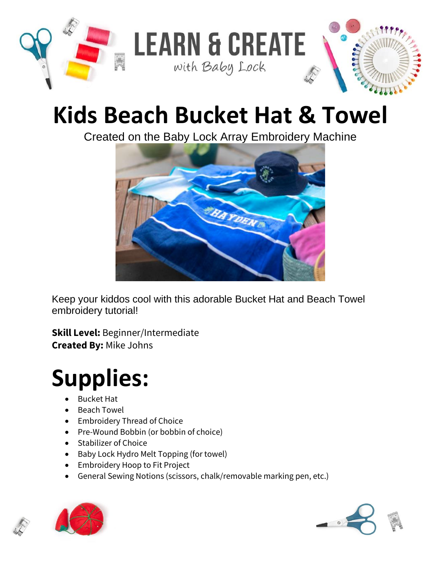

## **Kids Beach Bucket Hat & Towel**

Created on the Baby Lock Array Embroidery Machine



Keep your kiddos cool with this adorable Bucket Hat and Beach Towel embroidery tutorial!

**Skill Level:** Beginner/Intermediate **Created By:** Mike Johns

## **Supplies:**

- Bucket Hat
- Beach Towel
- Embroidery Thread of Choice
- Pre-Wound Bobbin (or bobbin of choice)
- Stabilizer of Choice
- Baby Lock Hydro Melt Topping (for towel)
- Embroidery Hoop to Fit Project
- General Sewing Notions (scissors, chalk/removable marking pen, etc.)



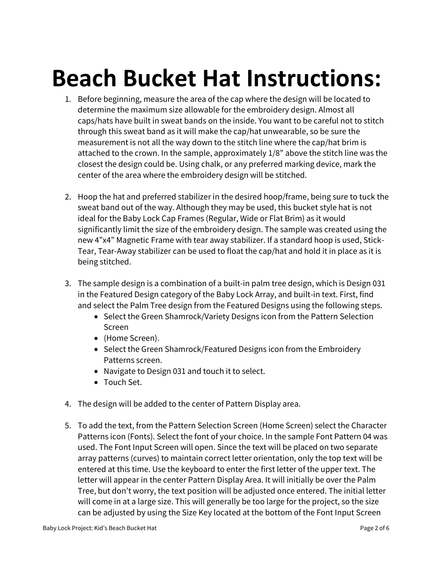## **Beach Bucket Hat Instructions:**

- 1. Before beginning, measure the area of the cap where the design will be located to determine the maximum size allowable for the embroidery design. Almost all caps/hats have built in sweat bands on the inside. You want to be careful not to stitch through this sweat band as it will make the cap/hat unwearable, so be sure the measurement is not all the way down to the stitch line where the cap/hat brim is attached to the crown. In the sample, approximately 1/8" above the stitch line was the closest the design could be. Using chalk, or any preferred marking device, mark the center of the area where the embroidery design will be stitched.
- 2. Hoop the hat and preferred stabilizer in the desired hoop/frame, being sure to tuck the sweat band out of the way. Although they may be used, this bucket style hat is not ideal for the Baby Lock Cap Frames (Regular, Wide or Flat Brim) as it would significantly limit the size of the embroidery design. The sample was created using the new 4"x4" Magnetic Frame with tear away stabilizer. If a standard hoop is used, Stick-Tear, Tear-Away stabilizer can be used to float the cap/hat and hold it in place as it is being stitched.
- 3. The sample design is a combination of a built-in palm tree design, which is Design 031 in the Featured Design category of the Baby Lock Array, and built-in text. First, find and select the Palm Tree design from the Featured Designs using the following steps.
	- Select the Green Shamrock/Variety Designs icon from the Pattern Selection Screen
	- (Home Screen).
	- Select the Green Shamrock/Featured Designs icon from the Embroidery Patterns screen.
	- Navigate to Design 031 and touch it to select.
	- Touch Set.
- 4. The design will be added to the center of Pattern Display area.
- 5. To add the text, from the Pattern Selection Screen (Home Screen) select the Character Patterns icon (Fonts). Select the font of your choice. In the sample Font Pattern 04 was used. The Font Input Screen will open. Since the text will be placed on two separate array patterns (curves) to maintain correct letter orientation, only the top text will be entered at this time. Use the keyboard to enter the first letter of the upper text. The letter will appear in the center Pattern Display Area. It will initially be over the Palm Tree, but don't worry, the text position will be adjusted once entered. The initial letter will come in at a large size. This will generally be too large for the project, so the size can be adjusted by using the Size Key located at the bottom of the Font Input Screen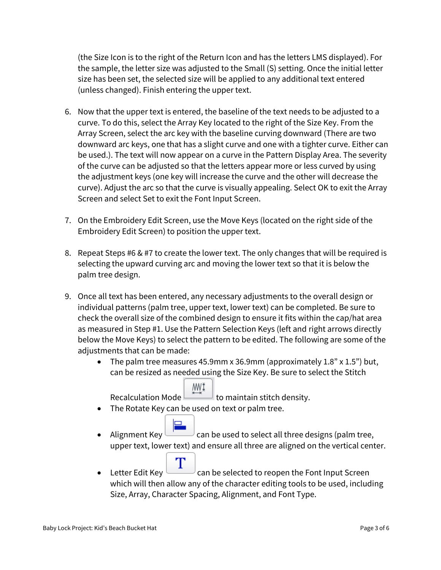(the Size Icon is to the right of the Return Icon and has the letters LMS displayed). For the sample, the letter size was adjusted to the Small (S) setting. Once the initial letter size has been set, the selected size will be applied to any additional text entered (unless changed). Finish entering the upper text.

- 6. Now that the upper text is entered, the baseline of the text needs to be adjusted to a curve. To do this, select the Array Key located to the right of the Size Key. From the Array Screen, select the arc key with the baseline curving downward (There are two downward arc keys, one that has a slight curve and one with a tighter curve. Either can be used.). The text will now appear on a curve in the Pattern Display Area. The severity of the curve can be adjusted so that the letters appear more or less curved by using the adjustment keys (one key will increase the curve and the other will decrease the curve). Adjust the arc so that the curve is visually appealing. Select OK to exit the Array Screen and select Set to exit the Font Input Screen.
- 7. On the Embroidery Edit Screen, use the Move Keys (located on the right side of the Embroidery Edit Screen) to position the upper text.
- 8. Repeat Steps #6 & #7 to create the lower text. The only changes that will be required is selecting the upward curving arc and moving the lower text so that it is below the palm tree design.
- 9. Once all text has been entered, any necessary adjustments to the overall design or individual patterns (palm tree, upper text, lower text) can be completed. Be sure to check the overall size of the combined design to ensure it fits within the cap/hat area as measured in Step #1. Use the Pattern Selection Keys (left and right arrows directly below the Move Keys) to select the pattern to be edited. The following are some of the adjustments that can be made:
	- The palm tree measures 45.9mm x 36.9mm (approximately  $1.8"$  x  $1.5"$ ) but, can be resized as needed using the Size Key. Be sure to select the Stitch

MWI Recalculation Mode  $\Box$  to maintain stitch density.

- The Rotate Key can be used on text or palm tree.
- Alignment Key can be used to select all three designs (palm tree, upper text, lower text) and ensure all three are aligned on the vertical center.
- Τ • Letter Edit Key  $\sim$  can be selected to reopen the Font Input Screen which will then allow any of the character editing tools to be used, including Size, Array, Character Spacing, Alignment, and Font Type.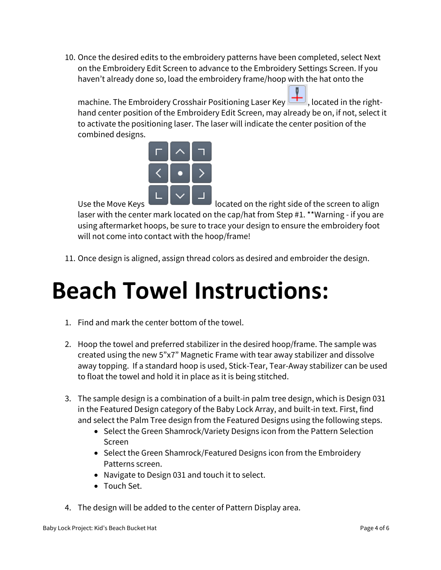10. Once the desired edits to the embroidery patterns have been completed, select Next on the Embroidery Edit Screen to advance to the Embroidery Settings Screen. If you haven't already done so, load the embroidery frame/hoop with the hat onto the

machine. The Embroidery Crosshair Positioning Laser Key **TH**, located in the righthand center position of the Embroidery Edit Screen, may already be on, if not, select it to activate the positioning laser. The laser will indicate the center position of the combined designs.



Use the Move Keys  $\Box$   $\Box$   $\Box$  located on the right side of the screen to align laser with the center mark located on the cap/hat from Step #1. \*\*Warning - if you are using aftermarket hoops, be sure to trace your design to ensure the embroidery foot will not come into contact with the hoop/frame!

11. Once design is aligned, assign thread colors as desired and embroider the design.

## **Beach Towel Instructions:**

- 1. Find and mark the center bottom of the towel.
- 2. Hoop the towel and preferred stabilizer in the desired hoop/frame. The sample was created using the new 5"x7" Magnetic Frame with tear away stabilizer and dissolve away topping. If a standard hoop is used, Stick-Tear, Tear-Away stabilizer can be used to float the towel and hold it in place as it is being stitched.
- 3. The sample design is a combination of a built-in palm tree design, which is Design 031 in the Featured Design category of the Baby Lock Array, and built-in text. First, find and select the Palm Tree design from the Featured Designs using the following steps.
	- Select the Green Shamrock/Variety Designs icon from the Pattern Selection Screen
	- Select the Green Shamrock/Featured Designs icon from the Embroidery Patterns screen.
	- Navigate to Design 031 and touch it to select.
	- Touch Set.
- 4. The design will be added to the center of Pattern Display area.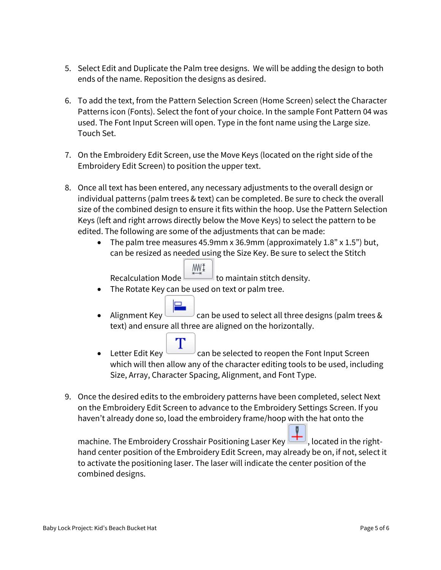- 5. Select Edit and Duplicate the Palm tree designs. We will be adding the design to both ends of the name. Reposition the designs as desired.
- 6. To add the text, from the Pattern Selection Screen (Home Screen) select the Character Patterns icon (Fonts). Select the font of your choice. In the sample Font Pattern 04 was used. The Font Input Screen will open. Type in the font name using the Large size. Touch Set.
- 7. On the Embroidery Edit Screen, use the Move Keys (located on the right side of the Embroidery Edit Screen) to position the upper text.
- 8. Once all text has been entered, any necessary adjustments to the overall design or individual patterns (palm trees & text) can be completed. Be sure to check the overall size of the combined design to ensure it fits within the hoop. Use the Pattern Selection Keys (left and right arrows directly below the Move Keys) to select the pattern to be edited. The following are some of the adjustments that can be made:
	- The palm tree measures 45.9mm x 36.9mm (approximately  $1.8$ " x  $1.5$ ") but, can be resized as needed using the Size Key. Be sure to select the Stitch

MWĮ Recalculation Mode  $\Box$  to maintain stitch density.

- The Rotate Key can be used on text or palm tree.
- Alignment Key can be used to select all three designs (palm trees & text) and ensure all three are aligned on the horizontally.
- Letter Edit Key  $\sim$  can be selected to reopen the Font Input Screen which will then allow any of the character editing tools to be used, including Size, Array, Character Spacing, Alignment, and Font Type.
- 9. Once the desired edits to the embroidery patterns have been completed, select Next on the Embroidery Edit Screen to advance to the Embroidery Settings Screen. If you haven't already done so, load the embroidery frame/hoop with the hat onto the

machine. The Embroidery Crosshair Positioning Laser Key **The Luiss**, located in the righthand center position of the Embroidery Edit Screen, may already be on, if not, select it to activate the positioning laser. The laser will indicate the center position of the combined designs.